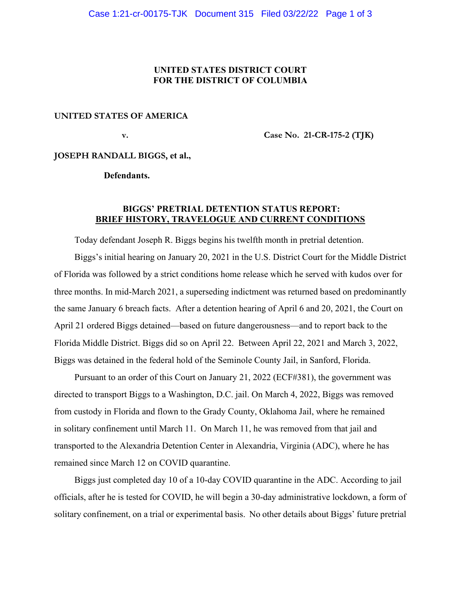## **UNITED STATES DISTRICT COURT FOR THE DISTRICT OF COLUMBIA**

## **UNITED STATES OF AMERICA**

 **v. Case No. 21-CR-175-2 (TJK)** 

**JOSEPH RANDALL BIGGS, et al.,** 

 **Defendants.** 

## **BIGGS' PRETRIAL DETENTION STATUS REPORT: BRIEF HISTORY, TRAVELOGUE AND CURRENT CONDITIONS**

Today defendant Joseph R. Biggs begins his twelfth month in pretrial detention.

 Biggs's initial hearing on January 20, 2021 in the U.S. District Court for the Middle District of Florida was followed by a strict conditions home release which he served with kudos over for three months. In mid-March 2021, a superseding indictment was returned based on predominantly the same January 6 breach facts. After a detention hearing of April 6 and 20, 2021, the Court on April 21 ordered Biggs detained—based on future dangerousness—and to report back to the Florida Middle District. Biggs did so on April 22. Between April 22, 2021 and March 3, 2022, Biggs was detained in the federal hold of the Seminole County Jail, in Sanford, Florida.

 Pursuant to an order of this Court on January 21, 2022 (ECF#381), the government was directed to transport Biggs to a Washington, D.C. jail. On March 4, 2022, Biggs was removed from custody in Florida and flown to the Grady County, Oklahoma Jail, where he remained in solitary confinement until March 11. On March 11, he was removed from that jail and transported to the Alexandria Detention Center in Alexandria, Virginia (ADC), where he has remained since March 12 on COVID quarantine.

 Biggs just completed day 10 of a 10-day COVID quarantine in the ADC. According to jail officials, after he is tested for COVID, he will begin a 30-day administrative lockdown, a form of solitary confinement, on a trial or experimental basis. No other details about Biggs' future pretrial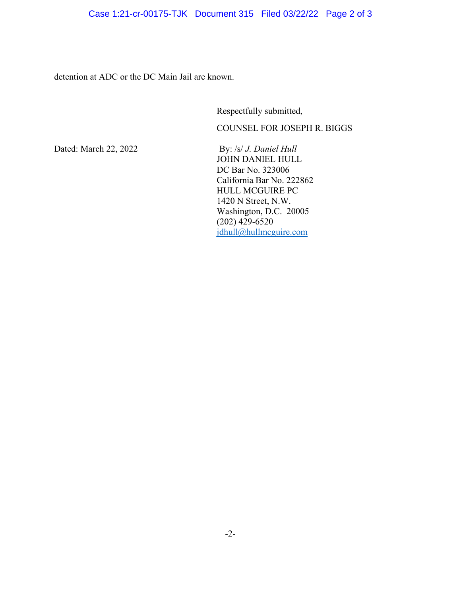detention at ADC or the DC Main Jail are known.

Respectfully submitted,

COUNSEL FOR JOSEPH R. BIGGS

Dated: March 22, 2022 By: /s/ *J. Daniel Hull*  JOHN DANIEL HULL DC Bar No. 323006 California Bar No. 222862 HULL MCGUIRE PC 1420 N Street, N.W. Washington, D.C. 20005 (202) 429-6520 jdhull@hullmcguire.com